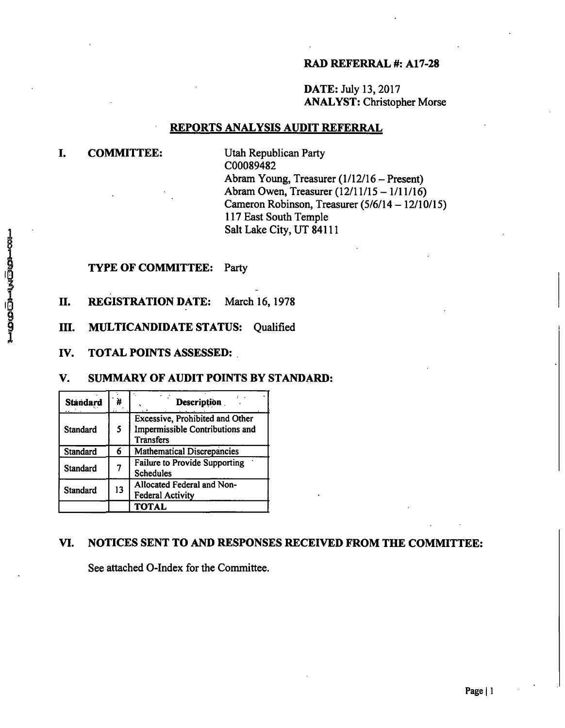### **RAD REFERRAL #: A17-28**

DATE: July 13,2017 ANALYST: Christopher Morse

### **REPORTS ANALYSIS AUDIT REFERRAL**

### **I. COMMITTEE:**

Utah Republican Party C00089482 Abram Young, Treasurer (1/12/16 - Present) Abram Owen, Treasurer (12/11/15 - 1/11/16) Cameron Robinson, Treasurer  $(5/6/14 - 12/10/15)$ 117 East South Temple Salt Lake City, UT 84111

#### TYPE OF COMMITTEE: Party

II. REGISTRATION DATE: March 16,1978

III. MULTICANDIDATE STATUS: Qualified

**IV. TOTAL POINTS ASSESSED:** 

### **V. SUMMARY OF AUDIT POINTS BY STANDARD:**

| <b>Standard</b> | Ħ  | <b>Description</b>                                                                     |
|-----------------|----|----------------------------------------------------------------------------------------|
| Standard        | 5  | Excessive, Prohibited and Other<br>Impermissible Contributions and<br><b>Transfers</b> |
| Standard        | 6  | <b>Mathematical Discrepancies</b>                                                      |
| Standard        |    | <b>Failure to Provide Supporting</b><br><b>Schedules</b>                               |
| <b>Standard</b> | 13 | Allocated Federal and Non-<br><b>Federal Activity</b>                                  |
|                 |    | <b>TOTAL</b>                                                                           |

### **VI. NOTICES SENT TO AND RESPONSES RECEIVED FROM THE COMMITTEE:**

See attached 0-Index for the Committee.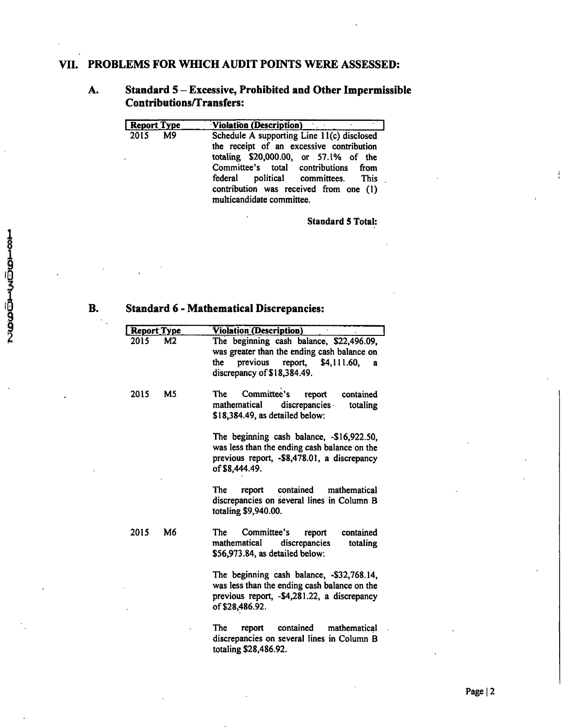## **VII. PROBLEMS FOR WHICH AUDIT POINTS WERE ASSESSED:**

## **A. Standard 5 - Excessive, Prohibited and Other Impermissible Contributions/T ransfers:**

| <b>Report Type</b> | <b>Violation (Description)</b>                                                                                                                                                                                                                                                       |
|--------------------|--------------------------------------------------------------------------------------------------------------------------------------------------------------------------------------------------------------------------------------------------------------------------------------|
| 2015<br>M9         | Schedule A supporting Line 11(c) disclosed<br>the receipt of an excessive contribution<br>totaling \$20,000.00, or 57.1% of the<br>Committee's total contributions from<br>federal political committees. This<br>contribution was received from one (1)<br>multicandidate committee. |

Standard 5 Total:

## **B. Standard 6 - Mathematical Discrepancies:**

| <b>Report Type</b> |    | <b>Violation (Description)</b>                                                                                                                                           |
|--------------------|----|--------------------------------------------------------------------------------------------------------------------------------------------------------------------------|
| 2015               | M2 | The beginning cash balance, \$22,496.09,<br>was greater than the ending cash balance on<br>previous<br>report,<br>\$4,111.60,<br>the<br>a<br>discrepancy of \$18,384.49. |
| 2015               | M5 | Committee's<br><b>The</b><br>report<br>contained<br>discrepancies<br>mathematical<br>totaling<br>\$18,384.49, as detailed below:                                         |
|                    |    | The beginning cash balance, -\$16,922.50,<br>was less than the ending cash balance on the<br>previous report, -\$8,478.01, a discrepancy<br>of \$8,444.49.               |
|                    |    | <b>The</b><br>contained<br>mathematical<br>report<br>discrepancies on several lines in Column B<br>totaling \$9,940.00.                                                  |
| 2015               | M6 | The<br>Committee's<br>report<br>contained<br>discrepancies<br>mathematical<br>totaling<br>\$56,973.84, as detailed below:                                                |
|                    |    | The beginning cash balance, -\$32,768.14,<br>was less than the ending cash balance on the<br>previous report, -\$4,281.22, a discrepancy<br>of \$28,486.92.              |
|                    |    | <b>The</b><br>contained<br>mathematical<br>report<br>discrepancies on several lines in Column B<br>totaling \$28,486.92.                                                 |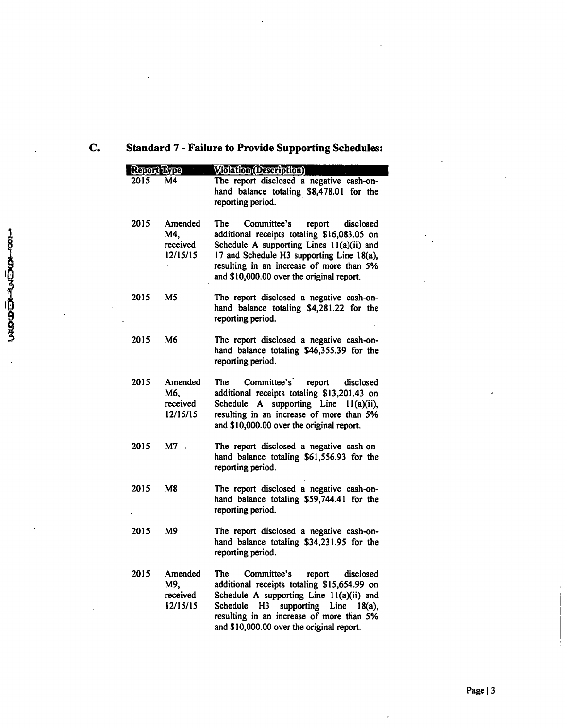# **C. Standard 7 - Failure to Provide Supporting Schedules:**

| Report Type |                                        | Violation (Description)                                                                                                                                                                                                                                                         |
|-------------|----------------------------------------|---------------------------------------------------------------------------------------------------------------------------------------------------------------------------------------------------------------------------------------------------------------------------------|
| 2015        | M4                                     | The report disclosed a negative cash-on-<br>hand balance totaling \$8,478.01 for the<br>reporting period.                                                                                                                                                                       |
| 2015        | Amended<br>M4,<br>received<br>12/15/15 | Committee's<br>report<br>The<br>disclosed<br>additional receipts totaling \$16,083.05 on<br>Schedule A supporting Lines 11(a)(ii) and<br>17 and Schedule H3 supporting Line 18(a),<br>resulting in an increase of more than 5%<br>and \$10,000.00 over the original report.     |
| 2015        | M5                                     | The report disclosed a negative cash-on-<br>hand balance totaling \$4,281.22 for the<br>reporting period.                                                                                                                                                                       |
| 2015        | M6                                     | The report disclosed a negative cash-on-<br>hand balance totaling \$46,355.39 for the<br>reporting period.                                                                                                                                                                      |
| 2015        | Amended<br>M6.<br>received<br>12/15/15 | Committee's report disclosed<br>The<br>additional receipts totaling \$13,201.43 on<br>Schedule A supporting Line 11(a)(ii),<br>resulting in an increase of more than 5%<br>and \$10,000.00 over the original report.                                                            |
| 2015        | M7.                                    | The report disclosed a negative cash-on-<br>hand balance totaling \$61,556.93 for the<br>reporting period.                                                                                                                                                                      |
| 2015        | <b>M8</b>                              | The report disclosed a negative cash-on-<br>hand balance totaling \$59,744.41 for the<br>reporting period.                                                                                                                                                                      |
| 2015        | M9                                     | The report disclosed a negative cash-on-<br>hand balance totaling \$34,231.95 for the<br>reporting period.                                                                                                                                                                      |
| 2015        | Amended<br>M9,<br>received<br>12/15/15 | The<br>Committee's<br>report<br>disclosed<br>additional receipts totaling \$15,654.99 on<br>Schedule A supporting Line 11(a)(ii) and<br>supporting Line<br>Schedule<br>H3<br>$18(a)$ ,<br>resulting in an increase of more than 5%<br>and \$10,000.00 over the original report. |

 $\frac{1}{2}$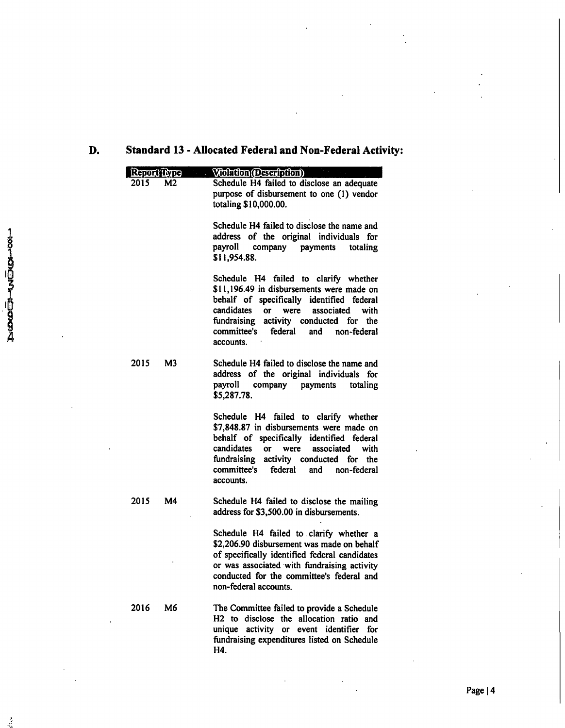# **D. Standard 13 - Allocated Federal and Non-Federal Activity:**

|               | Report Type |                | Violation (Description)                                                                                                                                                                                                                                                                            |
|---------------|-------------|----------------|----------------------------------------------------------------------------------------------------------------------------------------------------------------------------------------------------------------------------------------------------------------------------------------------------|
|               | 2015        | M <sub>2</sub> | Schedule H4 failed to disclose an adequate<br>purpose of disbursement to one (1) vendor<br>totaling \$10,000.00.                                                                                                                                                                                   |
|               |             |                | Schedule H4 failed to disclose the name and<br>address of the original individuals for<br>payroll<br>company<br>payments<br>totaling<br>\$11,954.88.                                                                                                                                               |
| 1321007760994 |             |                | Schedule H4 failed to clarify whether<br>\$11,196.49 in disbursements were made on<br>behalf of specifically identified federal<br>candidates<br><b>or</b><br>were<br>associated<br>with<br>fundraising<br>activity conducted for the<br>committee's<br>federal<br>non-federal<br>and<br>accounts. |
|               | 2015        | M <sub>3</sub> | Schedule H4 failed to disclose the name and<br>address of the original individuals for<br>payroll<br>payments<br>company<br>totaling<br>\$5,287.78.                                                                                                                                                |
|               |             |                | Schedule H4 failed to clarify whether<br>\$7,848.87 in disbursements were made on<br>behalf of specifically identified federal<br>candidates<br>associated<br>with<br><b>or</b><br>were<br>fundraising<br>activity conducted for the<br>committee's<br>federal<br>and<br>non-federal<br>accounts.  |
|               | 2015        | M4             | Schedule H4 failed to disclose the mailing<br>address for \$3,500.00 in disbursements.                                                                                                                                                                                                             |
|               |             |                | Schedule H4 failed to clarify whether a<br>\$2,206.90 disbursement was made on behalf<br>of specifically identified federal candidates<br>or was associated with fundraising activity<br>conducted for the committee's federal and<br>non-federal accounts.                                        |
|               | 2016        | M6             | The Committee failed to provide a Schedule<br>H2 to disclose the allocation ratio and<br>unique activity or event identifier for<br>fundraising expenditures listed on Schedule<br>H4.                                                                                                             |

 $\frac{1}{2}$ 

Page | 4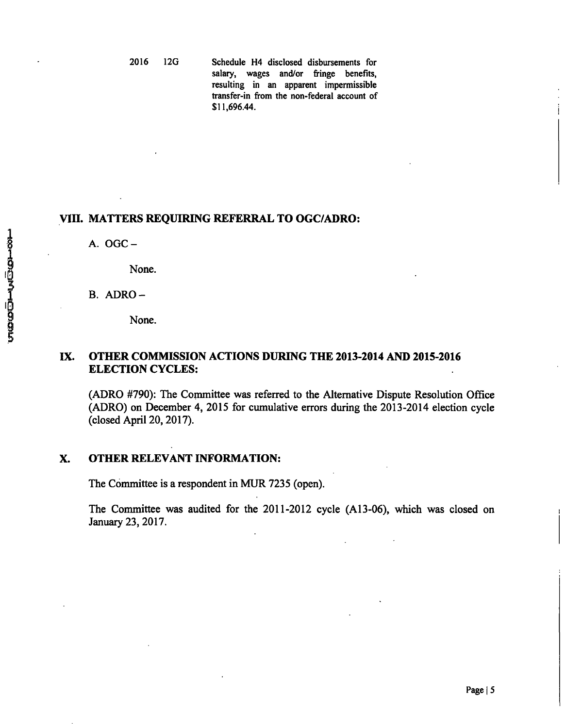2016 12G Schedule H4 disclosed disbursements for salary, wages and/or fringe benefits, resulting in an apparent impermissible transfer-in from the non-federal account of \$11,696.44.

### **VIII. MATTERS REQUIRING REFERRAL TO OGC/ADRO;**

A. OGC-

None.

B. ADRO-

None.

## **IX. OTHER COMMISSION ACTIONS DURING THE 2013-2014 AND 2015-2016 ELECTION CYCLES:**

(ADRO #790): The Committee was referred to the Alternative Dispute Resolution Office (ADRO) on December 4, 2015 for cumulative errors during the 2013-2014 election cycle (closed April 20,2017).

#### X. OTHER RELEVANT INFORMATION:

The Committee is a respondent in MUR 7235 (open).

The Committee was audited for the 2011-2012 cycle (A13-06), which was closed on January 23, 2017.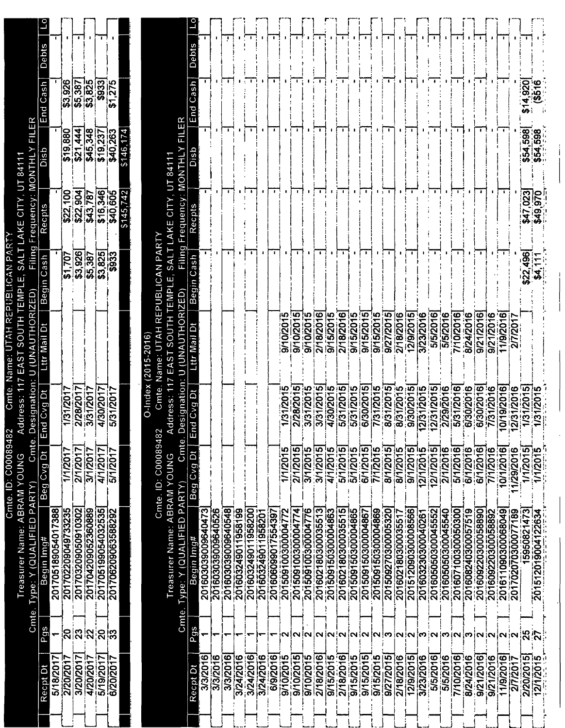| Debts                            |                                |                           |                                             | п.                 |                    |           |                 |                     |                              |                                        | <b>Debts</b>                     |                    |                    |                    |                    |                    |                    |                   |                   |                    |                    |                     |                    |                    |                    |                        |                                          |                    |                       |                    |                    |                    |                    |                    |                    |                    |                    |             |                    |
|----------------------------------|--------------------------------|---------------------------|---------------------------------------------|--------------------|--------------------|-----------|-----------------|---------------------|------------------------------|----------------------------------------|----------------------------------|--------------------|--------------------|--------------------|--------------------|--------------------|--------------------|-------------------|-------------------|--------------------|--------------------|---------------------|--------------------|--------------------|--------------------|------------------------|------------------------------------------|--------------------|-----------------------|--------------------|--------------------|--------------------|--------------------|--------------------|--------------------|--------------------|--------------------|-------------|--------------------|
| Cash<br>nd<br>យ                  | \$3,926                        | \$5,387<br>\$3,825        |                                             | \$933              | \$1,275            |           |                 |                     |                              |                                        | Cash<br>pu∃                      |                    |                    |                    |                    |                    |                    |                   |                   |                    |                    |                     |                    |                    |                    |                        |                                          |                    |                       |                    |                    |                    |                    |                    |                    |                    |                    | 920<br>မာ   | Ю                  |
| dsig                             | \$19,880                       | 444<br>$\frac{1}{32}$     | \$45,348                                    | \$19.237           | \$40,263           | \$146,174 |                 |                     | ا<br>آ<br>UT 8411            | $\frac{\alpha}{\Box}$<br><b>MONTHL</b> | aig                              |                    |                    |                    | в.                 |                    | $\cdot$            |                   |                   |                    | л.                 |                     | $\blacksquare$     | -                  | $\mathbf{I}$       |                        | $\mathbf{I}$                             | -                  |                       |                    |                    |                    |                    | $\blacksquare$     |                    | Щ.                 |                    | \$54,598    | 598<br>\$54,       |
| Recpts                           | $\overline{100}$<br><u>୍ବର</u> | \$22,904                  | $\overline{787}$<br>$\overline{\mathbf{3}}$ | \$16,346           | 340.605            | \$145,742 |                 |                     | AKE CITY                     | Frequency:                             | Recpt                            |                    |                    |                    |                    |                    |                    |                   |                   |                    |                    |                     |                    |                    | -                  |                        |                                          |                    |                       |                    |                    |                    |                    | $\bullet$          |                    |                    |                    | \$47,023    | \$49,970           |
| Cash<br>Begin                    | \$1,707                        | 3,926                     | \$5,387                                     | $\frac{25}{3933}$  |                    |           |                 | REPUBLICAN PART     | <b>LAS</b><br>EMPLE,         | Filing                                 | Cash<br>Begin                    |                    |                    |                    | $\cdot$            |                    |                    | -                 | $\mathbf{I}$      |                    |                    | ۰                   | -                  |                    | $\mathbf{I}$       | л.                     | - 1                                      | ٠                  |                       |                    |                    |                    |                    | ٠                  | ٠                  |                    |                    | \$22,496    |                    |
| ă<br>Mail<br>ttr                 |                                |                           |                                             |                    |                    |           | $(2015 - 2016)$ | Name: UTAH          | <b>TUOS</b><br><b>7 EAST</b> | U (UNAUTHORIZED)                       | Ő<br>ttr Mail                    |                    |                    |                    |                    |                    |                    | 9/10/201          | 9/10/2015         | 9/10/2015          | 2/18/2016          | 9/15/2015           | 2/18/2016          | 9/15/2015          | 9/15/2015          | 9/15/2015              | 9/27/2015<br>2/18/2016                   | 12/9/2015          | 3/23/2016             | 5/5/2016           | 5/5/2016           | 7/10/2016          | 8/24/2016          | 9/21/2016          | 9/21/2016          | 11/9/2016          | 2/7/2017           |             |                    |
| d Cvg Dt<br>$\tilde{5}$          | 1/31/2017                      | 2/28/2017                 | 3/31/2017                                   | 4/30/2017          | 5/31/2017          |           | O-Index         | Cmte.               | ddress: 11<br>⋖              | esignation:                            | ă<br>Cvg<br>đ<br>$\tilde{5}$     |                    |                    |                    |                    |                    |                    | 1/31/2015         | 2/28/2015         | 3/31/2015          | 3/31/2015          | 4/30/2015           | 5/31/2015          | 5/31/2015          | 6/30/2015          | 8/31/2015<br>7/31/2015 | 8/31/2015                                | 9/30/2015          | 2/31/2015             | 2/31/2015          | 2/29/2016          | 5/31/2016          | 6/30/2016          | 6/30/2016          | 7/31/2016          | 0/19/2016          | 2/31/2016          | 1/31/2015   | 1/201<br><u>13</u> |
| Beg Cvg Dt                       | 1/1/2017                       | 2/1/2017                  | 3/1/2017                                    | 4/1/2017           | 5/1/2017           |           |                 | Cmte. ID: C00089482 |                              | Cmte.D                                 | Beg Cvg Dt                       |                    |                    |                    |                    |                    |                    | 1/1/2015          | 2/1/2015          | 3/1/2015           | 3/1/2015           | 4/1/2015            | 5/1/2015           | 5/1/2015           | 6/1/2015           | 8/1/2015<br>7/1/2015   | 8/1/2015                                 | 9/1/2015           | <u>in</u><br>12/1/201 | 12/1/2015          | 2/1/2016           | 5/1/2016           | 6/1/2016           | 6/1/2016           | 7/1/2016           | 10/1/2016          | 1/29/2016          | 1/1/2015    | 1/1/2015           |
| 201705189054017388<br>Begin Img# | 201702209049733235             | 201703209050910302        | 201704209052360889                          | 201705199054032535 | 201706209063588292 |           |                 |                     | Treasurer Name: ABRAM YOUNG  | Type: Y (QUALIFIED PARTY)              | 201603039009640473<br>Begin Img# | 201603039009640526 | 201603039009640548 | 201603249011958199 | 201603249011958200 | 201603249011958201 | 201606099017554397 | 20150910030004772 | 20150910030004774 | 201509100300004776 | 201602180300035513 | 201509150300004863  | 201602180300035515 | 201509150300004865 | 201509150300004867 | 201509150300004869     | 201509270300005320<br>201602180300035517 | 201512090300008566 | 201603230300040261    | 201605050300045552 | 201605050300045540 | 201607100300050300 | 201608240300057519 | 201609220300058890 | 201609220300058892 | 201611090300068049 | 201702070300077189 | 15950821473 | 201512019004122634 |
| Pos                              | င္လြ                           | $\overline{\mathbf{2}}$ ସ | $\bar{2}$                                   | ່ຊ                 | းကွ                |           |                 |                     |                              | Cmte.                                  | Pas                              |                    |                    |                    |                    |                    |                    | ŗΝ                | $\overline{N}$    |                    |                    |                     |                    |                    |                    |                        | ่N N N N N N  M  N  N                    |                    |                       | $ N $ ო $ N $      |                    |                    | ო                  | ∣ו ¦               |                    | איִמ∣              |                    | 25          | $\bar{\mathbf{c}}$ |
| 5/18/2017<br>Recpt Dt            | 2/20/2017                      | 3/20/2017                 | 4/20/2017                                   | 5/19/2017          | 6/20/2017          |           |                 |                     |                              |                                        | 3/3/2016<br>Recpt Dt             | 3/3/2016           | 3/3/2016           | 3/24/2016          | 3/24/2016          | 3/24/2016          | 6/9/2016           | 9/10/2015         | 9/10/2015         | 9/10/2015          | 2/18/2016          | $\frac{9}{15/2015}$ | 2/18/2016          | 9/15/2015          | 9/15/2015          | 9/27/2015<br>9/15/2015 | 2/18/2016                                | 12/9/2015          | 3/23/2016             | 5/5/2016           | 5/5/2016           | 7/10/2016          | 8/24/2016          | 9/21/2016          | 9/21/2016          | 11/9/2016          | 2/7/2017           | 2/20/2015   | 12/1/2015          |

Cmte. ID: C00089482 Cmte. Name: UTAH REPUBLICAN PARTY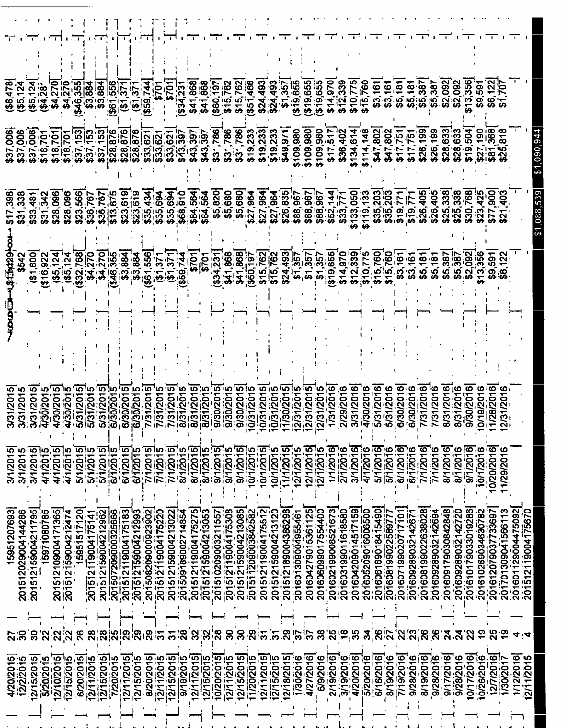|               | (85, 12)           | (85, 124)          | (\$4,281    | \$4,270                    | \$4,270                 | \$46,355               | \$3,884            | \$3,884                   | \$61,556           | (51.37)            | (51.37)              | \$59,744          |                    | \$701                   | (334.231)          | \$41,868           | \$41,868                     | $($ \$60 $, 197$   | \$15,762           | \$15,762               | (351, 466)         | \$24,493                  | \$24,493           | \$1,357            | ( \$19, 655        | (23, 655)            | 319,655)           | \$14,970<br>\$12,339      | \$10,775                                 | \$15,760           | \$3,16'            | \$3,161<br>\$5,181 |                    | $$5,38$<br>$$5,38$ |                    | \$5,387            | \$2,092<br>\$2,092 |                    | \$13,356            | \$9,591              | \$6,122                |                                          |                    |
|---------------|--------------------|--------------------|-------------|----------------------------|-------------------------|------------------------|--------------------|---------------------------|--------------------|--------------------|----------------------|-------------------|--------------------|-------------------------|--------------------|--------------------|------------------------------|--------------------|--------------------|------------------------|--------------------|---------------------------|--------------------|--------------------|--------------------|----------------------|--------------------|---------------------------|------------------------------------------|--------------------|--------------------|--------------------|--------------------|--------------------|--------------------|--------------------|--------------------|--------------------|---------------------|----------------------|------------------------|------------------------------------------|--------------------|
| 7,006<br>\$37 | \$37,006           | \$37,006           | \$18,701    | \$18,701                   | \$18,701                | $$37/153$<br>$$37/153$ |                    | \$37,153                  | \$28,876           | \$28,876           | \$28,876             | \$33,62           | \$33,621           | 3,621<br>က္ကိ           | \$43,397           | \$43,397           | \$43,397                     | \$31,786           | 11,786<br>က္က      | \$31,786               | \$19,233           | \$19,233                  | \$19,233           | \$49,971           | \$109,980          | \$109,980            | \$109,980          | \$36,402<br>\$17,517      | \$134,614                                | \$114,148          | \$47,802           | \$47,802           | \$17,751           | \$17,751           | \$26,199           | \$26,199           | \$28,633           | \$28,633           | \$19,504            | \$27,190<br>\$81,368 | חיי                    |                                          |                    |
| <u>ფ</u>      | \$31,338           | 481<br>\$33        | \$31,342    | \$28,096                   | \$28,096                | \$23,566 <br>\$36,767  |                    | \$36,767                  | $\frac{1}{13.675}$ | \$23,619           | \$23,619<br>\$35,434 |                   | \$35,694           | \$35,694                | \$68,910           | \$84,564           | \$84,564                     | \$5,820            | \$5,680            | \$5,680                | \$27,964           | \$27,964                  |                    | \$26,835           | \$88,967           | \$88,967             | \$88,967           | \$52,144<br>\$33,77       | 133,050                                  | 119,133            | \$35,203           | \$35,203           | \$19,771           | 519,77             | \$26,405           | \$26,405           | \$25,338           | \$25,338           | \$30,768            | \$23,425             | \$77,900               |                                          |                    |
|               |                    | (51,600            | ( \$16, 922 | $(85, 124)$<br>$(85, 124)$ |                         | \$32,768               | \$4,270            | \$4,270                   | $355$<br>$346,355$ | \$3,884            | \$3,884              | \$61,556          | (61.37)            | (51.37                  |                    | )<br>ເວັ           | <b>6701</b>                  | \$34,231           | \$41,868           | \$41,868]<br>(\$60,197 |                    | \$15,762                  | \$15,762           | \$24,493           | \$1,357            | \$1,357              | \$1,357            | \$19,655<br>\$14,970      | \$12,339                                 | \$10,775           | \$15,760           | \$15,760           | \$3,161            | 3,161              | \$5,181            | \$5,181            | \$5,387            | \$5,387            | \$2,092<br>\$13,356 |                      | \$9,591                |                                          |                    |
|               |                    |                    |             |                            |                         |                        |                    |                           |                    |                    |                      |                   |                    |                         |                    |                    |                              |                    |                    |                        |                    |                           |                    |                    |                    |                      |                    |                           |                                          |                    |                    |                    |                    |                    |                    |                    |                    |                    |                     |                      |                        |                                          |                    |
|               |                    | 31/201             |             | 30/201                     | 30/2015                 | 31/201                 | 31/201             | မာ<br>1/201               | 30/201             | 30/201             | 30/201               | 31/201            | 731/201            | 31/201                  | 31/201!            | 31/201             | 31/201                       | 30/201             | 30/201             | 30/201                 | 31/201             | 131/201<br>$\tilde{\tau}$ | /31/201            | 30/201             | 31/201<br>יִם וְחַ | 31/201<br>$\epsilon$ | 31/201             | 31/2016<br><b>29/2016</b> | 31/2016                                  | 30/2016            | /31/2016           | 31/201             | 30/2016            | 130/2016           | /31/2016           | /31/2016           | 3/31/2016          | /31/2016           | /30/2016            | 19/2016              | /28/2016<br>1/20       |                                          |                    |
| 3/1/2015      | 3/1/2015           | 3/1/2015           | 4/1/201     | 4/1/2015                   | 4/1/2015                | 5/1/2015               | 5/1/201            | 5/1/201                   | 6/1/201            | 6/1/2015           | 6/1/2015             | 7/1/2015          | 771/2015           | 7/1/2015                | 8/1/201            | 8/1/2015           | $\frac{1}{8}$ $\sqrt{1/201}$ | 9/1/201            | 9/1/201            | 9/1/2015               | 0/1/2015           | 10/1/201                  | 0/1/201            | 1/1/2015           | 12/1/2015          | 2/1/2015             | 2/1/2015           | 1/1/2016<br>2/1/2016      | 3/1/2016                                 | 4/1/2016           | 5/1/2016           | 5/1/2016           | 6/1/2016           | 6/1/2016           | 7/1/2016           | 7/1/2016           | 8/1/2016           | 8/1/2016           | 9/1/2016            | 10/1/2016            | 10/20/2016<br>1/29/201 |                                          |                    |
| 15951207693   | 201512029004144286 | 201512159004211795 | 15971080785 | 201512109004171365         | 201512159004212474      | 15951517120            | 201512119004175141 | 201512159004212962        | 201507209000325666 | 201512119004175183 | 201512159004212993   | 20150820900923902 | 201512119004175220 | 201512159004213022      | 201509189002714854 | 201512119004175275 | 201512159004213053           | 201510209003211557 | 201512119004175308 | 201512159004213085     | 201511209003842582 | 201512119004175512        | 201512159004213120 | 201512189004386298 | 201601309004955461 | 201604279015361125   | 201606099017554400 | 201602199008521673        | 201604209014517159<br>201603199011618580 | 201605209016006500 | 201606169018415490 | 201608199022589777 | 201607199020717101 | 201609289032142671 | 201608199022638028 | 201609289032142694 | 201609179030842848 | 201609289032142720 | 201610179033019286  | 201610269034630782   | 201612079037733697     | 201601129004475092<br>201701309041566113 | 201512119004175670 |
| 27            | ္က                 | $\boldsymbol{50}$  | <u>ัส</u>   | 22                         | $\overline{\mathbf{2}}$ | 26                     | $\overline{28}$    | '္လုပ္ကုပ္က<br>'လုပ္ကြက္သ |                    |                    | ခြ                   |                   | $\frac{1}{2}$      | $\overline{\mathbf{5}}$ | 38<br>28           | 32                 | ೫                            | $\frac{8}{2}$      | ႙ၟ                 | ႙                      | 29                 | $\bar{5}$                 | ကြ                 | .<br>29            | $\frac{25}{37}$    |                      | ွိခိ               | 'ಸಿ                       | $\ddot{\bm{5}}$<br>35                    | $\mathbf{a}$       | ္ပိဇ္လ             | $\bar{2}$          | $\mathbf{z}$       | ່ຂົ                | $\overline{28}$    | 26                 | ี<br>21            |                    | <u>្កូ</u>          | စ္                   | 25                     |                                          |                    |
| 4/20/2015     | 12/2/2015          | 2/15/2015          | 5/20/2015   | 2/10/2015                  | 12/15/2015              | 6/20/2015              | 12/11/2015         | 12/15/2015                | 7/20/2015          | 12/11/2015         | 12/15/2015           | 8/20/2015         | 12/11/2015         | 12/15/2015              | 9/18/2015          | 12/11/2015         | 2/15/2015                    | 0/20/2015          | 2/11/2015          | 2/15/2015              | 1/20/2015          | 2/11/2015                 | 12/15/2015         | 12/18/2015         | 1/30/2016          | 4/27/2016            | 6/9/2016           | 2/19/2016                 | 4/20/2016<br>3/19/2016                   | 5/20/2016          | 6/16/2016          | 8/19/2016          | 7/19/2016          | 9/28/2016          | 8/19/2016          | 9/28/2016          | 9/17/2016          | 9/28/2016          | 0/17/2016           | 10/26/2016           | 12/7/2016              | 1/12/2016<br>1/30/2017                   | 2/11/2015          |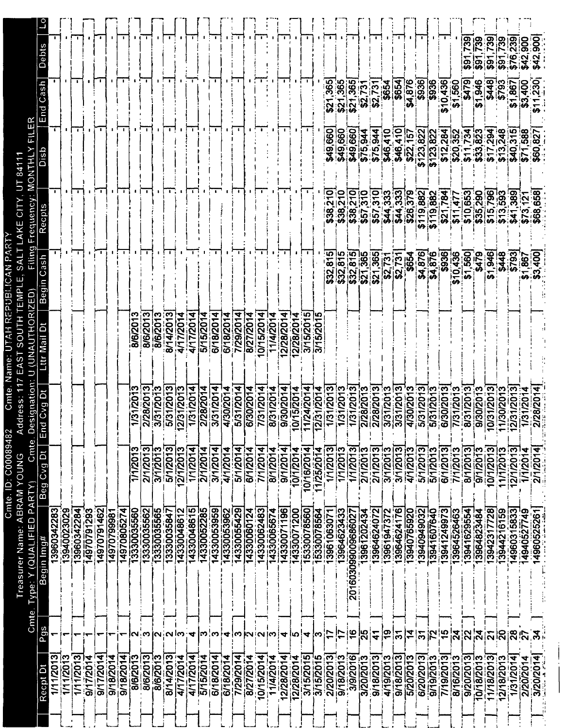| Treasurer Name: ABRAM YOUNG                           |  | Cmte. Type: Y (QUALIFIED PARTY) | Cmte.         | esignation:<br>Ő              | AUTHORIZED<br>ミリリ | Elling               | Frequency:                    | <b>MONTHU</b>           | Ш                           |                            |
|-------------------------------------------------------|--|---------------------------------|---------------|-------------------------------|-------------------|----------------------|-------------------------------|-------------------------|-----------------------------|----------------------------|
| Begin Img#<br>Pgs<br>Recpt Dt                         |  |                                 | ŏ<br>Beg Cvg  | ă<br><b>Dvg</b><br>đ<br>Ğ     | Mail              | S<br>P<br>u<br>Begi  |                               | dsig                    | Cash<br>puE                 | <b>Debts</b>               |
| 13960342283<br>1/11/2013                              |  |                                 |               |                               |                   |                      | $\overline{\phantom{a}}$      | T.                      |                             |                            |
| 13940023029<br>1/11/2013                              |  |                                 |               |                               |                   |                      |                               |                         |                             |                            |
| 13960342284<br>1/11/2013                              |  |                                 |               |                               |                   | ┯┯                   | - 1                           | <b>.</b>                | т                           |                            |
| 14970791293<br>9/17/2014                              |  |                                 |               |                               |                   |                      |                               |                         |                             |                            |
| 14970791462<br>9/17/2014                              |  |                                 |               |                               |                   | $\mathbf{1}$         |                               |                         |                             |                            |
| 14970799981<br>9/18/2014                              |  |                                 |               |                               |                   |                      |                               |                         |                             |                            |
| 14970805274<br>9/18/2014                              |  |                                 |               |                               |                   |                      |                               | 1 L L                   |                             |                            |
| 13330035560<br>8/6/2013                               |  |                                 | 1/1/2013      | 1/31/2013                     | 8/6/201           |                      |                               |                         |                             |                            |
| 13330035562<br>S<br>8/6/2013                          |  |                                 | 2/1/2013      | /2013<br>ন                    | 8/6/2013          | $\mathbf{I}$         |                               | $\mathbf{L}$            |                             |                            |
| 3/1/2013<br>13330035565<br>8/6/2013                   |  |                                 |               | 31/2013<br>సె                 | 8/6/201           |                      |                               |                         |                             |                            |
| 5/1/2013<br>13330035847<br>N<br>8/14/2013             |  |                                 |               | (2013)                        | 8/14/2013         |                      |                               | $\mathbf{1}$            |                             |                            |
| 14330048612<br>4/17/2014                              |  |                                 | 2/1/2013      | 2/31/2013                     | 4/17/2014         |                      |                               |                         |                             |                            |
| 1/1/2014<br>14330048615<br>4<br>4/17/2014             |  |                                 |               | 1/31/2014                     | 4/17/2014         |                      | $\mathbf{L}$                  | n 1                     |                             |                            |
| 2/1/2014<br>14330052285<br>m<br>5/15/2014             |  |                                 |               | 2/28/2014                     | 5/15/2014         |                      |                               |                         |                             |                            |
| 3/1/2014<br>14330053959<br>∾<br>6/18/2014             |  |                                 |               | 31/2014<br>ਨ                  | 6/18/2014         |                      |                               | $\blacksquare$          |                             |                            |
| 14330053962<br>$\overline{\mathbf{r}}$<br>6/18/2014   |  |                                 | 4/1/2014      | 4/30/201                      | 6/18/2014         |                      |                               |                         |                             |                            |
| 5/1/2014<br>14330055429<br>iMN<br>7/29/2014           |  |                                 |               | 5/31/2014                     | 7/29/2014         |                      |                               | $\mathbf{L}$            |                             |                            |
| 6/1/2014<br>14330060124<br>8/27/2014                  |  |                                 |               | 6/30/2014                     | 8/27/2014         |                      |                               |                         |                             |                            |
| 14330062483<br>'N<br>10/15/2014                       |  |                                 | 7/1/2014      | 7/31/2014                     | 0/15/2014         |                      |                               |                         |                             |                            |
| 8/1/2014<br>14330065674<br>၊က<br>11/4/2014            |  |                                 |               | 8/31/2014                     | 11/4/2014         |                      |                               |                         |                             |                            |
| 9/1/2014<br>4330071196<br>4<br>12/28/2014             |  |                                 |               | 9/30/2014                     | 2/28/2014         |                      |                               |                         |                             |                            |
| 10/1/2014<br>4330071200<br>ſЮ<br>2/28/2014            |  |                                 |               | 0/15/2014                     | 2/28/2014         |                      |                               |                         |                             |                            |
| 10/16/2014<br>15330078560<br>4<br>3/15/2015           |  |                                 |               | 4/2014<br><u>is</u>           | 3/15/2015         |                      |                               | L.                      |                             |                            |
| 1/25/2014<br>15330078564<br>က<br>3/15/2015            |  |                                 |               | 2/31/2014                     | 3/15/201          |                      |                               |                         |                             |                            |
| 1/1/2013<br>13961063071<br>5<br>2/20/2013             |  |                                 |               | 1/31/2013                     |                   | ျဂ<br>ౚ<br>\$32.     | <u>ុ</u><br>N<br>\$38.        | \$49,660                | 365<br>$\tilde{\mathbf{2}}$ |                            |
| 1/1/2013<br>3964623433<br>t,<br>9/18/2013             |  |                                 |               | 1/31/2013                     |                   | \$32,815             | $\overline{210}$<br>ှုံ့<br>မ | \$49,660                | \$21,365<br>\$21,365        |                            |
| 201603099009686027<br>16<br>3/9/2016                  |  |                                 | 1/1/2013      | ო<br>1/31/201                 |                   | \$32,815             | \$38,210                      | <b>660</b><br>\$49      |                             |                            |
| 3961202434<br><u>ხვ</u><br>3/20/2013                  |  |                                 | 2/1/2013      | ន្ត<br>2/28/                  |                   | \$21,365             | \$57,310                      | \$75,944                | \$2,731                     |                            |
| 3964624072<br>$\mathbf{r}$<br>9/18/2013               |  |                                 | 2/1/2013      | 28/201                        |                   | \$21,365             | \$57,310]                     | \$75,944                | \$2,731                     |                            |
| 3961947372<br>ဇ္ဇ<br>4/19/2013                        |  |                                 | 3/1/2013      | 3/31/201                      |                   | 52.7                 | 333<br>34.                    | \$46,410                | \$654                       |                            |
| 13964624176<br>৯<br>9/18/2013                         |  |                                 | 3/1/2013      | 3/31/201                      |                   | \$2,731              | \$44,333                      | 410<br>\$46             | \$654                       |                            |
| 13940765920<br>$\overline{\mathbf{A}}$<br>5/20/2013   |  |                                 | 4/1/2013      | 201<br>4/30/                  |                   | <b>\$654</b>         | $\frac{1}{379}$<br>\$26,      | $\frac{157}{2}$<br>\$2  | \$4,876                     |                            |
| 13940949032<br>5<br>6/20/2013                         |  |                                 | 5/1/2013      | 5/31/201                      |                   | \$4,876              | \$119,882                     | 822<br>\$123,           | \$936                       |                            |
| 5/1/2013<br>13941607640<br>72<br>9/19/2013            |  |                                 |               | 5/31/201                      |                   | 876<br>$\vec{a}$     | \$119,882                     | \$123,822               | \$936                       |                            |
| 6/1/2013<br>3941249973<br>$\frac{1}{2}$<br>7/19/2013  |  |                                 |               | 6/30/201                      |                   | \$936                | \$21,784                      |                         | \$10,436                    |                            |
| 7/1/201<br>3964526463<br>$\overline{24}$<br>8/16/2013 |  |                                 | ო             | 7731/201                      |                   | 10,436<br>မာ         | \$11,477                      |                         | 1,560<br>ู้⊷                |                            |
| 3941629554<br>22<br>9/20/2013                         |  |                                 | 8/1/2013      | <u>ମ୍ବ</u><br>$\overline{31}$ |                   | \$1,560]             | \$10,653                      |                         | \$479                       | 39<br>န္တြ                 |
| 9/1/201<br>3964823484<br>דן<br>פ<br>0718/2013         |  |                                 | က             | 9/30/201                      |                   | \$479                | \$35,290                      |                         | 1.946<br>မာ                 | န္က<br>.<br>၊5။<br>မြ      |
| 3942317728<br>$\overline{\mathbf{z}}$<br>11/18/2013   |  |                                 | ო<br>10/1/201 | 0/31/201                      |                   | 946<br>$\frac{1}{9}$ | \$15,796                      |                         | \$448                       | ႜၜၟ                        |
| 3944216159<br>iS<br>12/18/2013                        |  |                                 | 1/1/201       | 1/30/201                      |                   | \$448                | 593<br>$\frac{3}{3}$          |                         | \$793                       | တ္<br>ო<br>$\frac{77}{99}$ |
| 4960315833<br>ని<br>1/31/2014                         |  |                                 | 2/1/2013      | 31/2013                       |                   | \$793]               | \$41,389                      | 315<br>$\frac{5}{40}$   | \$1,867                     | $\overline{239}$<br>\$76.  |
| 4940527749<br>2/20/2014                               |  |                                 | 1/1/2014      | ន្ត                           |                   | 1,867<br>မာ          | \$73,121                      | 588<br>$\overline{571}$ | \$3,400                     | ဓ္မ<br>$\frac{3}{42}$      |
| 4960525261<br>3/20/2014                               |  |                                 | 2/1/2014      | 28/201                        |                   | $rac{1}{400}$        | 88<br>٥<br>8                  | 827<br>\$60,            | 230<br>$\mathbf{r}$<br>ക    | <b>SOC</b><br>\$42,        |
|                                                       |  |                                 |               |                               |                   |                      |                               |                         |                             |                            |

 $\begin{array}{c} \begin{array}{c} \vdots \\ \hline \end{array} \\ \begin{array}{c} \end{array} \\ \begin{array}{c} \end{array} \end{array}$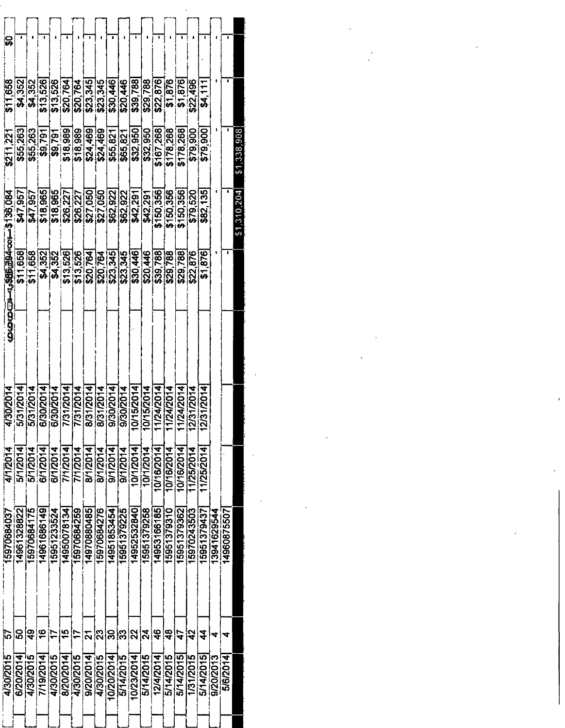| ္တ          |             |             |               |                      |                      |             |                      |                          |             |             |                 |                          |                 |             |             |                  |                |             | т           |             |
|-------------|-------------|-------------|---------------|----------------------|----------------------|-------------|----------------------|--------------------------|-------------|-------------|-----------------|--------------------------|-----------------|-------------|-------------|------------------|----------------|-------------|-------------|-------------|
| \$11,658    | \$4,352     | \$4,352     | \$13,526      | \$13,526<br>\$20,764 |                      | \$20,764    | \$23,345<br>\$23,345 |                          | \$30,446    | \$20,446    | \$39,788        | \$29,788                 | \$22,876        | \$1,876     | \$1,876]    | \$22,496         | \$4.11         |             | ×           |             |
| \$211.22    | \$55,263    | \$55,263    | \$9,791       | \$9,791              | \$18,989             | \$18,989    | \$24,469             | \$24,469                 | \$55,821    | \$65,821    | \$32,950        | \$32,950                 | $\sqrt{67,268}$ | \$178,268   | \$178,268   | \$79,900         | \$79,900       |             |             | \$1,338,908 |
|             | \$47,957    | \$47,957    | \$18,965      | \$18,965             | \$26,227             | \$26,227    | \$27,050             | \$27,050                 | \$62,922    | \$62,922    | \$42,291        | \$42.291                 | \$150,356       | \$150,356   | \$150,356   | \$79,520         | \$82,135       |             |             | \$1,310,204 |
|             | \$11,658    | \$11,658    | \$4,352       | $\frac{1}{24}$ ,352  | \$13,526             | \$13,526    | \$20,764             | \$20,764                 | \$23.345    | \$23,345    | \$30,446        | \$20,446                 | \$39,788        | \$29,788    | \$29,788    | \$22,876         | \$1,876        |             | $\bullet$   |             |
|             |             |             |               |                      |                      |             |                      |                          |             |             |                 |                          |                 |             |             |                  |                |             |             |             |
| 4/30/2014   | 5/31/2014   | 5/31/2014   | 6/30/2014     | 6/30/2014            | $\frac{1}{131/2014}$ | 7/31/2014   | 8/31/2014            |                          | 9/30/2014   | 9/30/2014   | 5/2014<br>10/1  | 5/2014<br>$\overline{5}$ | 11/24/2014      | 11/24/2014  | 11/24/2014  | 12/31/2014       | 1/2014<br>12/3 |             |             |             |
| 4/1/2014    | 5/1/2014    | 5/1/2014    | 6/1/2014      | 6/1/2014             | 7/1/2014             | 7/1/2014    | 8/1/2014             | 8/1/2014                 | 9/1/2014    | 9/1/2014    | 10/1/2014       | 10/1/2014                | 10/16/2014      | 10/16/2014  | 10/16/2014  | 11/25/201        | 11/25/2014     |             |             |             |
| 15970684037 | 14961328822 | 15970684175 | 14961686149   | 15951233524          | 14950078134          | 15970684259 | 14970880485          | 15970684276              | 14951853454 | 15951379225 | 14952532840     | 15951379258              | 14953166185     | 15951379310 | 15951379362 | 15970243503      | 15951379437    | 13941629544 | 14960875507 |             |
| ৯           | ន           | ခြ          | $\frac{6}{5}$ |                      | <u>န</u>             |             | <u>ম</u>             | $\overline{\mathcal{S}}$ | ႙           | န္ကြ        | $ \mathcal{S} $ | $ \vec{z} $              | $\frac{6}{5}$   | (\$         | 47          | $\boldsymbol{3}$ | 4              | 4           | ₹           |             |
| 4/30/2015   | 6/20/2014   | 4/30/201    | 7/19/2014     | 4/30/2015            | 8/20/2014            | 4/30/2015   | 9/20/2014            | 4/30/2015                | 10/20/2014  | 5/14/2015   | 10/23/2014      | 5/14/2015                | 12/4/2014       | 5/14/2015   | 5/14/2015   | 1/31/2015        | 5/14/2015      | 9/20/2013   | 5/6/2014    |             |
|             |             |             |               |                      |                      |             |                      |                          |             |             |                 |                          |                 |             |             |                  |                |             |             |             |

 $\label{eq:2.1} \mathcal{L}_{\mathcal{A}}(x) = \mathcal{L}_{\mathcal{A}}(x) + \mathcal{L}_{\mathcal{A}}(x) + \mathcal{L}_{\mathcal{A}}(x)$ 

 $\sim 10^{-11}$ 

 $\epsilon_{\rm{max}}$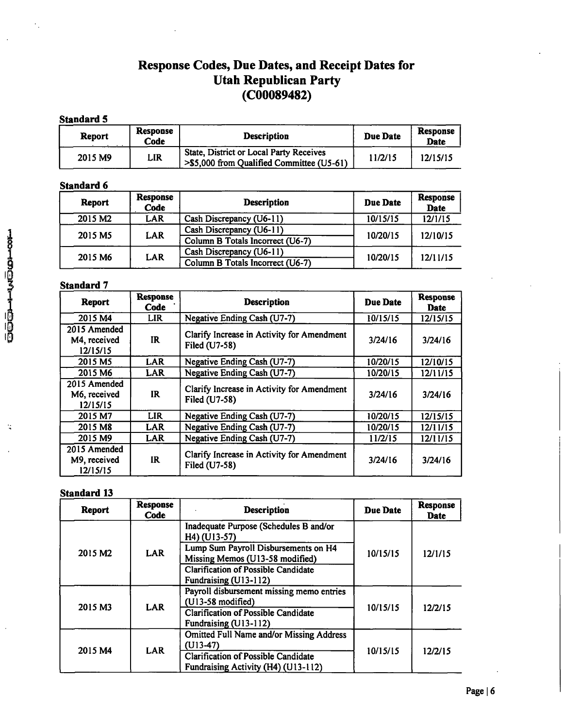## **Response Codes, Due Dates, and Receipt Dates for Utah Republican Party (C00089482)**

### **Standard 5**

| Report  | <b>Response</b><br>Code | <b>Description</b>                                                                          | Due Date | Response<br><b>Date</b> |
|---------|-------------------------|---------------------------------------------------------------------------------------------|----------|-------------------------|
| 2015 M9 | LIR                     | <b>State, District or Local Party Receives</b><br>>\$5,000 from Qualified Committee (U5-61) | 11/2/15  | 12/15/15                |

## **Standard 6**

| Report              | Response<br>Code | <b>Description</b>               | <b>Due Date</b> | Response<br>Date |
|---------------------|------------------|----------------------------------|-----------------|------------------|
| 2015 M <sub>2</sub> | <b>LAR</b>       | Cash Discrepancy (U6-11)         | 10/15/15        | 12/1/15          |
| 2015 M5             | <b>LAR</b>       | Cash Discrepancy (U6-11)         | 10/20/15        |                  |
|                     |                  | Column B Totals Incorrect (U6-7) |                 | 12/10/15         |
| 2015 M6             | LAR              | Cash Discrepancy (U6-11)         | 10/20/15        | 12/11/15         |
|                     |                  | Column B Totals Incorrect (U6-7) |                 |                  |

## **Standard 7**

| <b>Report</b>                            | <b>Response</b><br>Code | <b>Description</b>                                          | Due Date | <b>Response</b><br>Date |
|------------------------------------------|-------------------------|-------------------------------------------------------------|----------|-------------------------|
| 2015 M4                                  | <b>LIR</b>              | Negative Ending Cash (U7-7)                                 | 10/15/15 | 12/15/15                |
| 2015 Amended<br>M4, received<br>12/15/15 | IR.                     | Clarify Increase in Activity for Amendment<br>Filed (U7-58) | 3/24/16  | 3/24/16                 |
| 2015 M5                                  | LAR                     | Negative Ending Cash (U7-7)                                 | 10/20/15 | 12/10/15                |
| 2015 M6                                  | <b>LAR</b>              | Negative Ending Cash (U7-7)                                 | 10/20/15 | 12/11/15                |
| 2015 Amended<br>M6, received<br>12/15/15 | IR                      | Clarify Increase in Activity for Amendment<br>Filed (U7-58) | 3/24/16  | 3/24/16                 |
| 2015 M7                                  | LIR                     | Negative Ending Cash (U7-7)                                 | 10/20/15 | 12/15/15                |
| 2015 M <sub>8</sub>                      | LAR                     | Negative Ending Cash (U7-7)                                 | 10/20/15 | 12/11/15                |
| 2015 M9                                  | <b>LAR</b>              | Negative Ending Cash (U7-7)                                 | 11/2/15  | 12/11/15                |
| 2015 Amended<br>M9, received<br>12/15/15 | IR.                     | Clarify Increase in Activity for Amendment<br>Filed (U7-58) | 3/24/16  | 3/24/16                 |

## **Standard 13**

| <b>Report</b>       | <b>Response</b><br>Code | <b>Description</b>                                                                                                                                                                                | Due Date | <b>Response</b><br><b>Date</b> |
|---------------------|-------------------------|---------------------------------------------------------------------------------------------------------------------------------------------------------------------------------------------------|----------|--------------------------------|
| 2015 M <sub>2</sub> | <b>LAR</b>              | Inadequate Purpose (Schedules B and/or<br>H4) (U13-57)<br>Lump Sum Payroll Disbursements on H4<br>Missing Memos (U13-58 modified)<br>Clarification of Possible Candidate<br>Fundraising (U13-112) | 10/15/15 | 12/1/15                        |
| 2015 M3             | LAR                     | Payroll disbursement missing memo entries<br>$(U13-58 \text{ modified})$<br><b>Clarification of Possible Candidate</b><br>Fundraising (U13-112)                                                   | 10/15/15 | 12/2/15                        |
| 2015 M4             | <b>LAR</b>              | <b>Omitted Full Name and/or Missing Address</b><br>$(U13-47)$<br><b>Clarification of Possible Candidate</b><br>Fundraising Activity (H4) (U13-112)                                                | 10/15/15 | 12/2/15                        |

 $\mathcal{I}$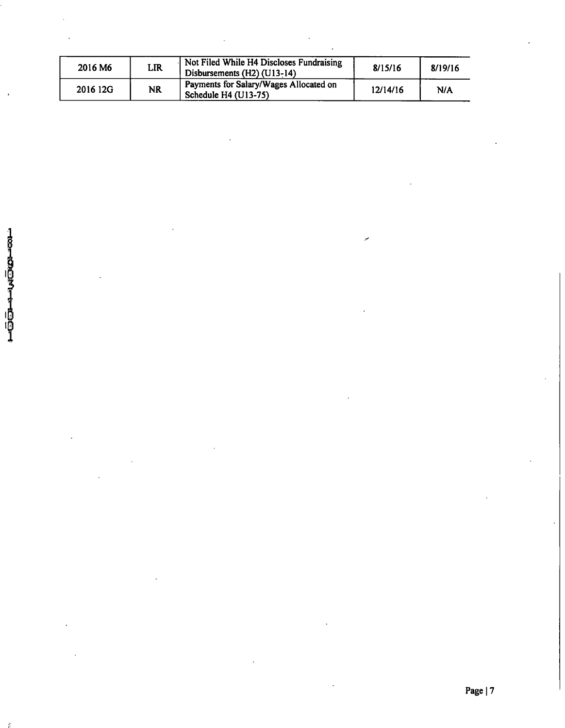| 2016 M6  | LIR       | Not Filed While H4 Discloses Fundraising<br>Disbursements (H2) (U13-14) | 8/15/16  | 8/19/16 |
|----------|-----------|-------------------------------------------------------------------------|----------|---------|
| 2016 12G | <b>NR</b> | Payments for Salary/Wages Allocated on<br>Schedule H4 (U13-75)          | 12/14/16 | N/A     |